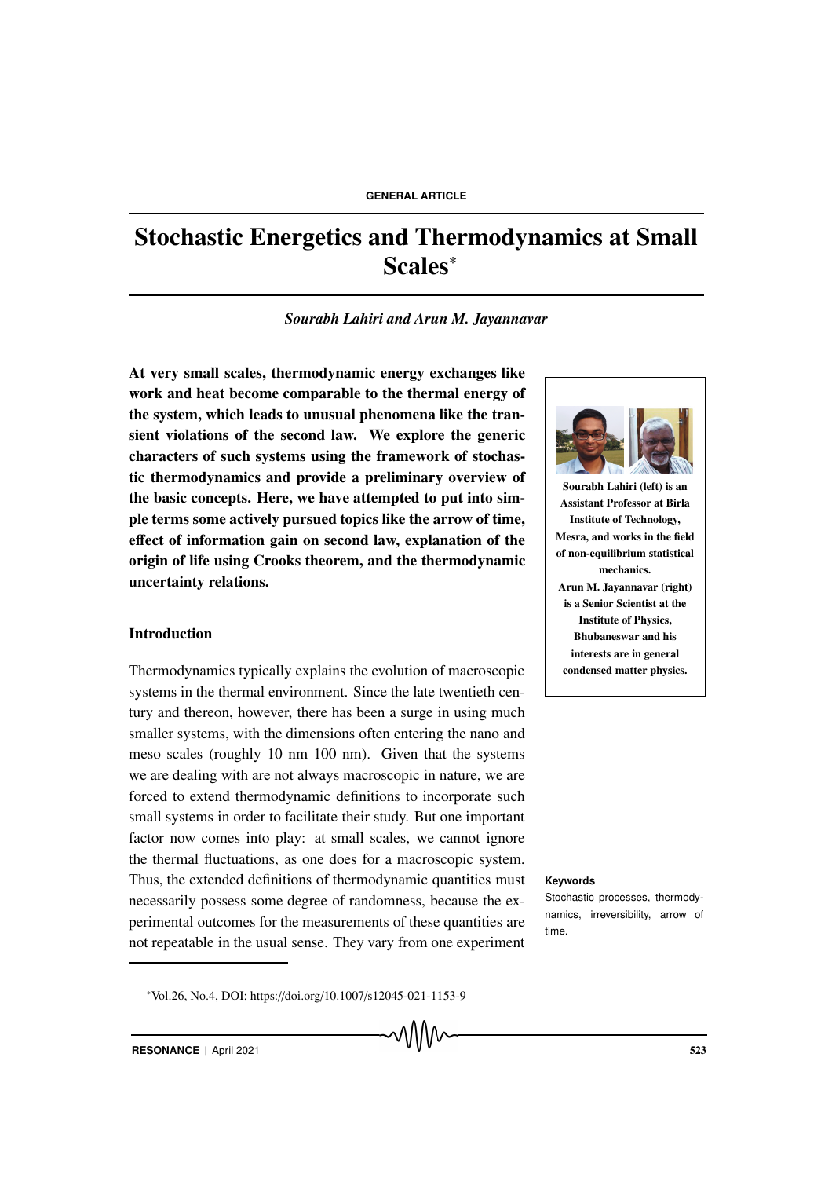# Stochastic Energetics and Thermodynamics at Small Scales<sup>∗</sup>

*Sourabh Lahiri and Arun M. Jayannavar*

At very small scales, thermodynamic energy exchanges like work and heat become comparable to the thermal energy of the system, which leads to unusual phenomena like the transient violations of the second law. We explore the generic characters of such systems using the framework of stochastic thermodynamics and provide a preliminary overview of the basic concepts. Here, we have attempted to put into simple terms some actively pursued topics like the arrow of time, effect of information gain on second law, explanation of the origin of life using Crooks theorem, and the thermodynamic uncertainty relations.

# Introduction

Thermodynamics typically explains the evolution of macroscopic systems in the thermal environment. Since the late twentieth century and thereon, however, there has been a surge in using much smaller systems, with the dimensions often entering the nano and meso scales (roughly 10 nm 100 nm). Given that the systems we are dealing with are not always macroscopic in nature, we are forced to extend thermodynamic definitions to incorporate such small systems in order to facilitate their study. But one important factor now comes into play: at small scales, we cannot ignore the thermal fluctuations, as one does for a macroscopic system. Thus, the extended definitions of thermodynamic quantities must **Keywords** necessarily possess some degree of randomness, because the experimental outcomes for the measurements of these quantities are not repeatable in the usual sense. They vary from one experiment





Sourabh Lahiri (left) is an Assistant Professor at Birla Institute of Technology, Mesra, and works in the field of non-equilibrium statistical mechanics. Arun M. Jayannavar (right) is a Senior Scientist at the Institute of Physics, Bhubaneswar and his interests are in general condensed matter physics.

Stochastic processes, thermodynamics, irreversibility, arrow of time.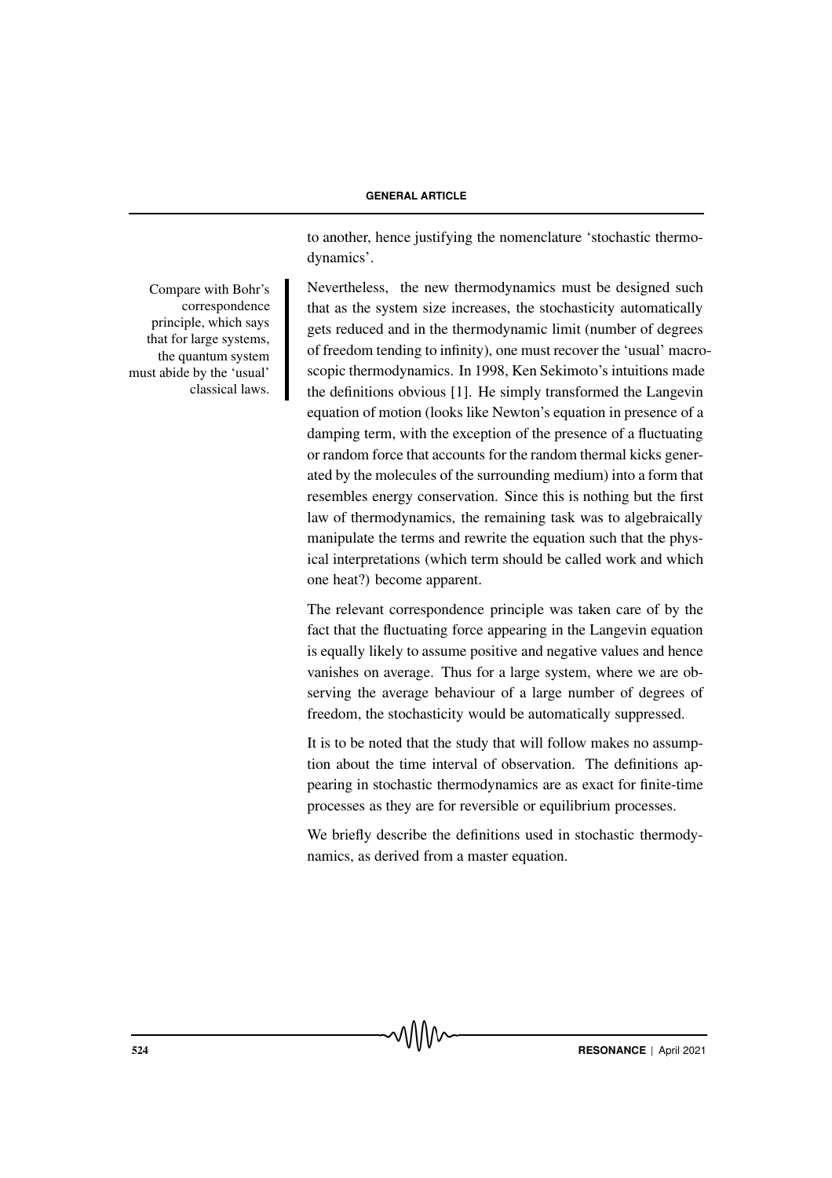Compare with Bohr's correspondence principle, which says that for large systems, the quantum system must abide by the 'usual' classical laws. to another, hence justifying the nomenclature 'stochastic thermodynamics'.

Nevertheless, the new thermodynamics must be designed such that as the system size increases, the stochasticity automatically gets reduced and in the thermodynamic limit (number of degrees of freedom tending to infinity), one must recover the 'usual' macroscopic thermodynamics. In 1998, Ken Sekimoto's intuitions made the definitions obvious [1]. He simply transformed the Langevin equation of motion (looks like Newton's equation in presence of a damping term, with the exception of the presence of a fluctuating or random force that accounts for the random thermal kicks generated by the molecules of the surrounding medium) into a form that resembles energy conservation. Since this is nothing but the first law of thermodynamics, the remaining task was to algebraically manipulate the terms and rewrite the equation such that the physical interpretations (which term should be called work and which one heat?) become apparent.

The relevant correspondence principle was taken care of by the fact that the fluctuating force appearing in the Langevin equation is equally likely to assume positive and negative values and hence vanishes on average. Thus for a large system, where we are observing the average behaviour of a large number of degrees of freedom, the stochasticity would be automatically suppressed.

It is to be noted that the study that will follow makes no assumption about the time interval of observation. The definitions appearing in stochastic thermodynamics are as exact for finite-time processes as they are for reversible or equilibrium processes.

We briefly describe the definitions used in stochastic thermodynamics, as derived from a master equation.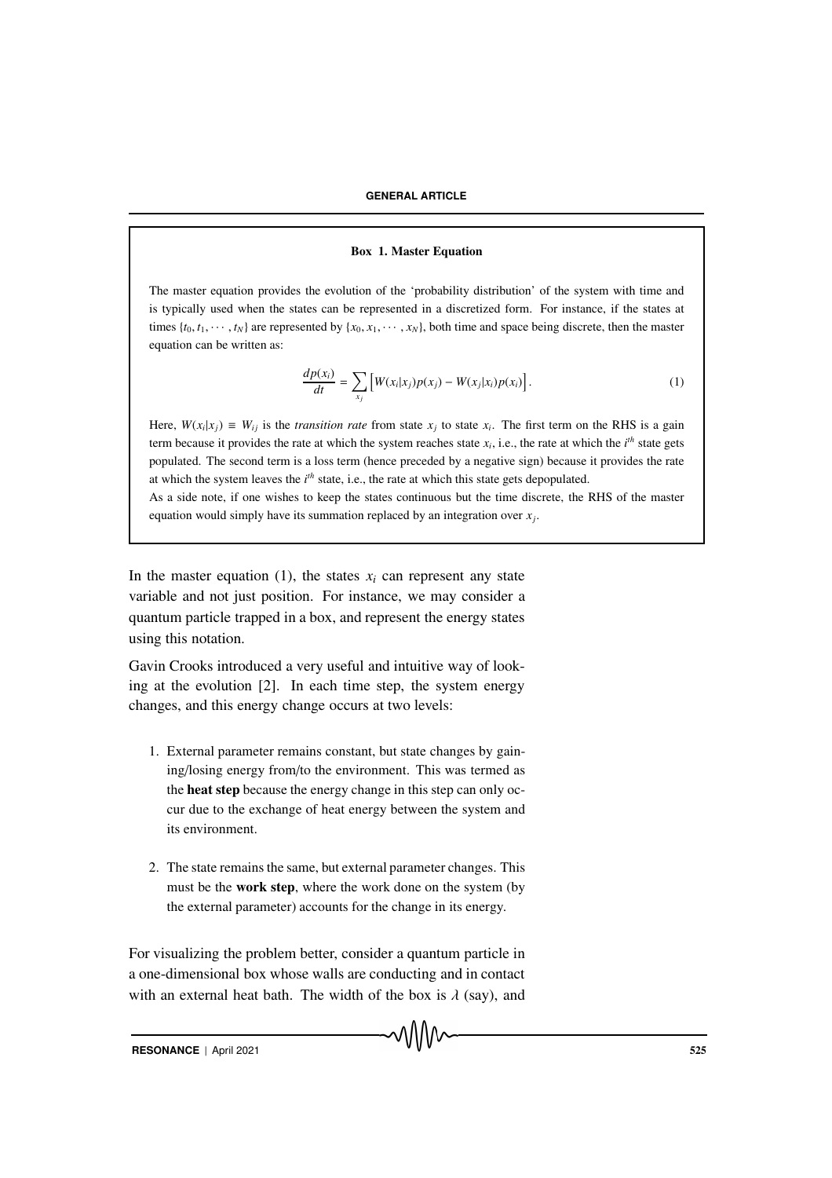#### Box 1. Master Equation

The master equation provides the evolution of the 'probability distribution' of the system with time and is typically used when the states can be represented in a discretized form. For instance, if the states at times  $\{t_0, t_1, \dots, t_N\}$  are represented by  $\{x_0, x_1, \dots, x_N\}$ , both time and space being discrete, then the master equation can be written as:

$$
\frac{dp(x_i)}{dt} = \sum_{x_j} \left[ W(x_i|x_j)p(x_j) - W(x_j|x_i)p(x_i) \right].
$$
 (1)

Here,  $W(x_i|x_j) \equiv W_{ij}$  is the *transition rate* from state  $x_j$  to state  $x_i$ . The first term on the RHS is a gain term because it provides the rate at which the system reaches state  $x_i$ , i.e., the rate at which the  $i<sup>th</sup>$  state gets populated. The second term is a loss term (hence preceded by a negative sign) because it provides the rate at which the system leaves the *i th* state, i.e., the rate at which this state gets depopulated.

As a side note, if one wishes to keep the states continuous but the time discrete, the RHS of the master equation would simply have its summation replaced by an integration over *x<sup>j</sup>* .

In the master equation (1), the states  $x_i$  can represent any state variable and not just position. For instance, we may consider a quantum particle trapped in a box, and represent the energy states using this notation.

Gavin Crooks introduced a very useful and intuitive way of looking at the evolution [2]. In each time step, the system energy changes, and this energy change occurs at two levels:

- 1. External parameter remains constant, but state changes by gaining/losing energy from/to the environment. This was termed as the heat step because the energy change in this step can only occur due to the exchange of heat energy between the system and its environment.
- 2. The state remains the same, but external parameter changes. This must be the work step, where the work done on the system (by the external parameter) accounts for the change in its energy.

For visualizing the problem better, consider a quantum particle in a one-dimensional box whose walls are conducting and in contact with an external heat bath. The width of the box is  $\lambda$  (say), and

MMW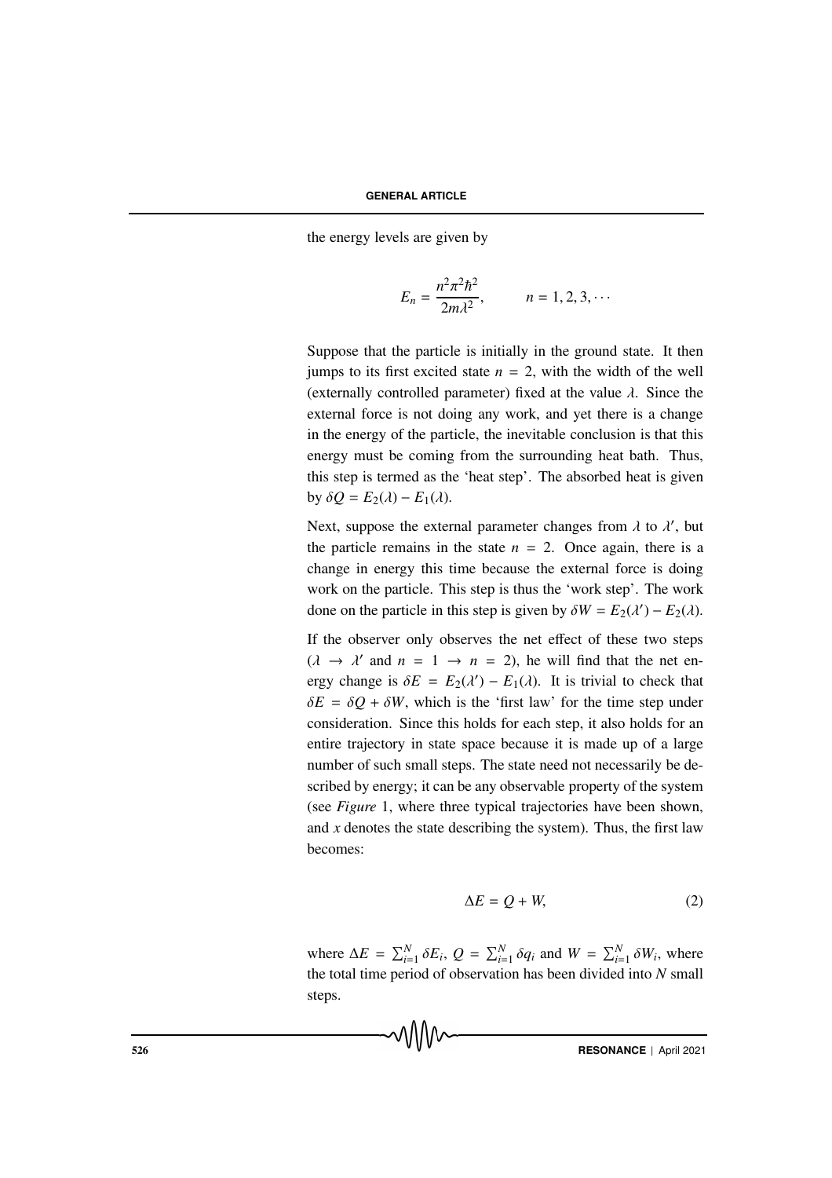the energy levels are given by

$$
E_n = \frac{n^2 \pi^2 \hbar^2}{2m\lambda^2}, \qquad n = 1, 2, 3, \cdots
$$

Suppose that the particle is initially in the ground state. It then jumps to its first excited state  $n = 2$ , with the width of the well (externally controlled parameter) fixed at the value  $\lambda$ . Since the external force is not doing any work, and yet there is a change in the energy of the particle, the inevitable conclusion is that this energy must be coming from the surrounding heat bath. Thus, this step is termed as the 'heat step'. The absorbed heat is given by  $\delta Q = E_2(\lambda) - E_1(\lambda)$ .

Next, suppose the external parameter changes from  $\lambda$  to  $\lambda'$ , but the particle remains in the state  $n = 2$ . Once again, there is a change in energy this time because the external force is doing work on the particle. This step is thus the 'work step'. The work done on the particle in this step is given by  $\delta W = E_2(\lambda') - E_2(\lambda)$ .

If the observer only observes the net effect of these two steps  $(\lambda \rightarrow \lambda'$  and  $n = 1 \rightarrow n = 2)$ , he will find that the net energy change is  $\delta E = E_2(\lambda') - E_1(\lambda)$ . It is trivial to check that  $\delta E = \delta Q + \delta W$ , which is the 'first law' for the time step under consideration. Since this holds for each step, it also holds for an entire trajectory in state space because it is made up of a large number of such small steps. The state need not necessarily be described by energy; it can be any observable property of the system (see *Figure* 1, where three typical trajectories have been shown, and  $x$  denotes the state describing the system). Thus, the first law becomes:

$$
\Delta E = Q + W,\tag{2}
$$

where  $\Delta E = \sum_{i=1}^{N} \delta E_i$ ,  $Q = \sum_{i=1}^{N} \delta q_i$  and  $W = \sum_{i=1}^{N} \delta W_i$ , where the total time period of observation has been divided into *N* small steps.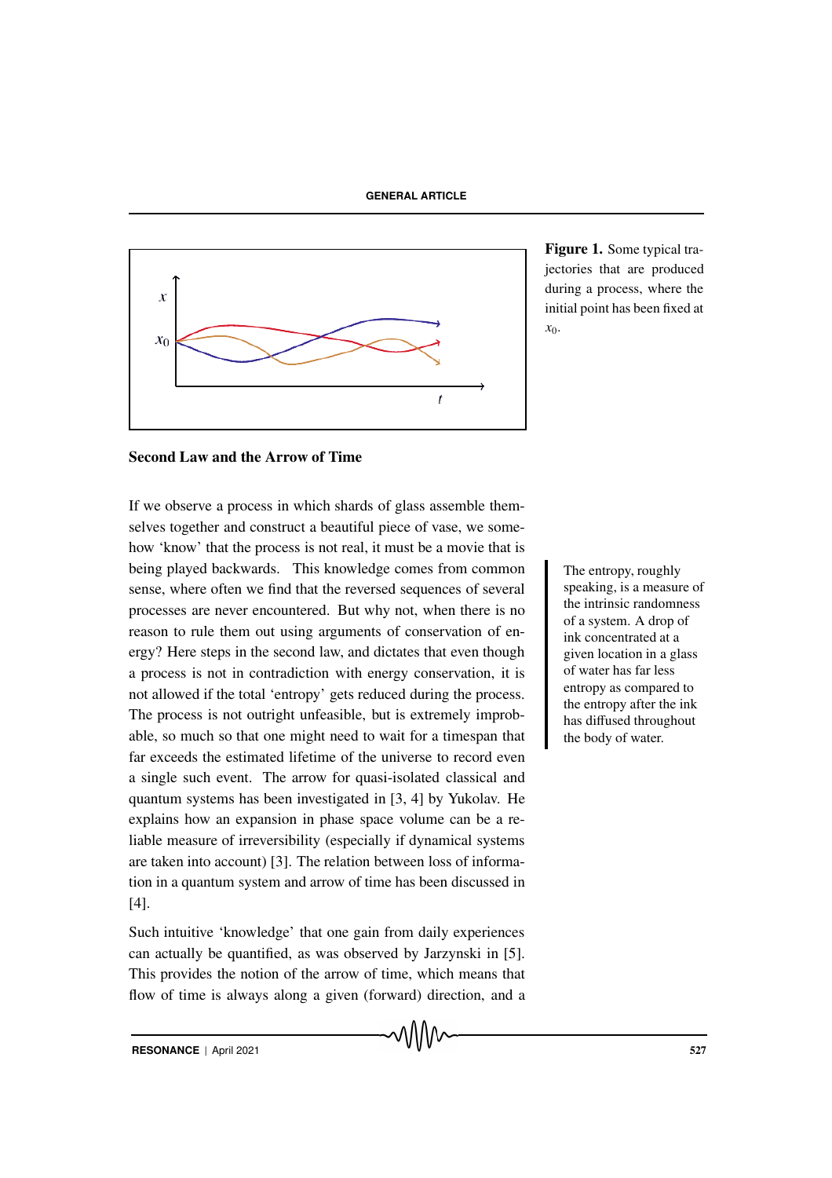

Figure 1. Some typical trajectories that are produced during a process, where the initial point has been fixed at *x*0.

# Second Law and the Arrow of Time

If we observe a process in which shards of glass assemble themselves together and construct a beautiful piece of vase, we somehow 'know' that the process is not real, it must be a movie that is being played backwards. This knowledge comes from common The entropy, roughly sense, where often we find that the reversed sequences of several processes are never encountered. But why not, when there is no reason to rule them out using arguments of conservation of energy? Here steps in the second law, and dictates that even though a process is not in contradiction with energy conservation, it is not allowed if the total 'entropy' gets reduced during the process. The process is not outright unfeasible, but is extremely improbable, so much so that one might need to wait for a timespan that far exceeds the estimated lifetime of the universe to record even a single such event. The arrow for quasi-isolated classical and quantum systems has been investigated in [3, 4] by Yukolav. He explains how an expansion in phase space volume can be a reliable measure of irreversibility (especially if dynamical systems are taken into account) [3]. The relation between loss of information in a quantum system and arrow of time has been discussed in [4].

Such intuitive 'knowledge' that one gain from daily experiences can actually be quantified, as was observed by Jarzynski in [5]. This provides the notion of the arrow of time, which means that flow of time is always along a given (forward) direction, and a speaking, is a measure of the intrinsic randomness of a system. A drop of ink concentrated at a given location in a glass of water has far less entropy as compared to the entropy after the ink has diffused throughout the body of water.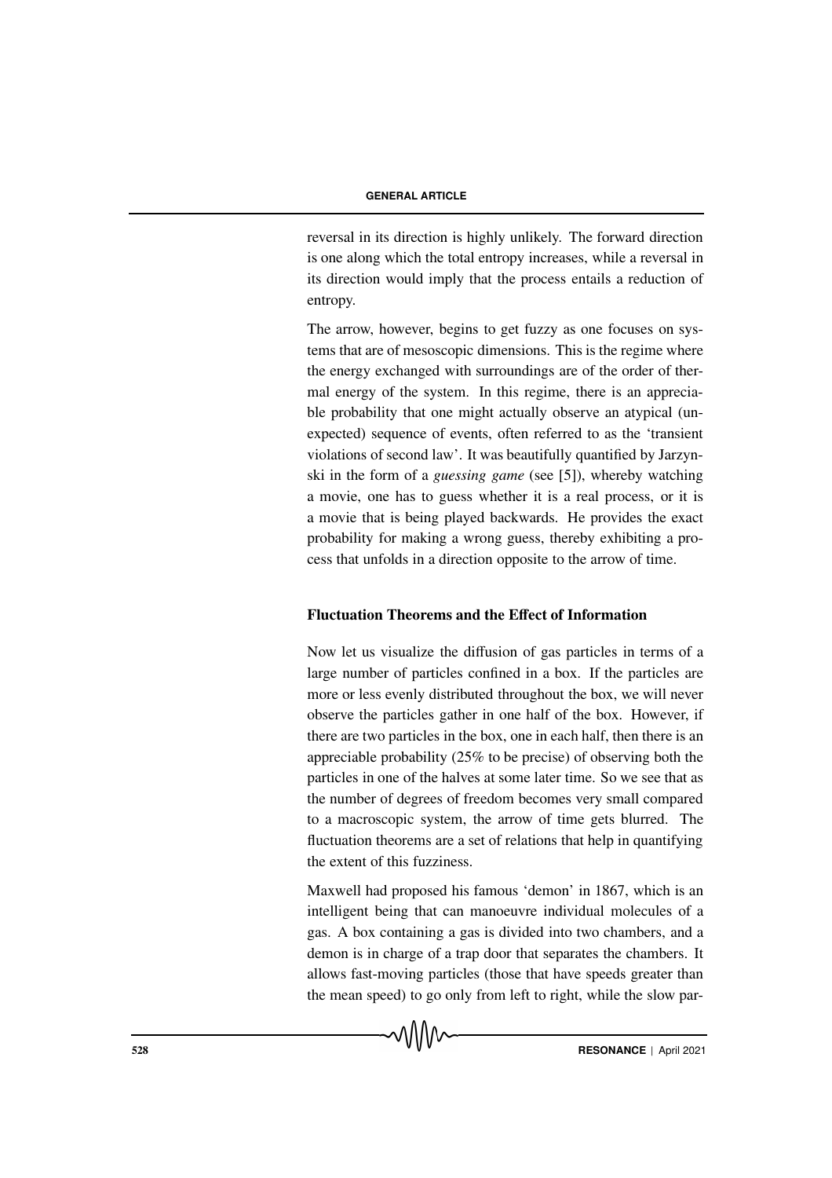reversal in its direction is highly unlikely. The forward direction is one along which the total entropy increases, while a reversal in its direction would imply that the process entails a reduction of entropy.

The arrow, however, begins to get fuzzy as one focuses on systems that are of mesoscopic dimensions. This is the regime where the energy exchanged with surroundings are of the order of thermal energy of the system. In this regime, there is an appreciable probability that one might actually observe an atypical (unexpected) sequence of events, often referred to as the 'transient violations of second law'. It was beautifully quantified by Jarzynski in the form of a *guessing game* (see [5]), whereby watching a movie, one has to guess whether it is a real process, or it is a movie that is being played backwards. He provides the exact probability for making a wrong guess, thereby exhibiting a process that unfolds in a direction opposite to the arrow of time.

# Fluctuation Theorems and the Effect of Information

Now let us visualize the diffusion of gas particles in terms of a large number of particles confined in a box. If the particles are more or less evenly distributed throughout the box, we will never observe the particles gather in one half of the box. However, if there are two particles in the box, one in each half, then there is an appreciable probability (25% to be precise) of observing both the particles in one of the halves at some later time. So we see that as the number of degrees of freedom becomes very small compared to a macroscopic system, the arrow of time gets blurred. The fluctuation theorems are a set of relations that help in quantifying the extent of this fuzziness.

Maxwell had proposed his famous 'demon' in 1867, which is an intelligent being that can manoeuvre individual molecules of a gas. A box containing a gas is divided into two chambers, and a demon is in charge of a trap door that separates the chambers. It allows fast-moving particles (those that have speeds greater than the mean speed) to go only from left to right, while the slow par-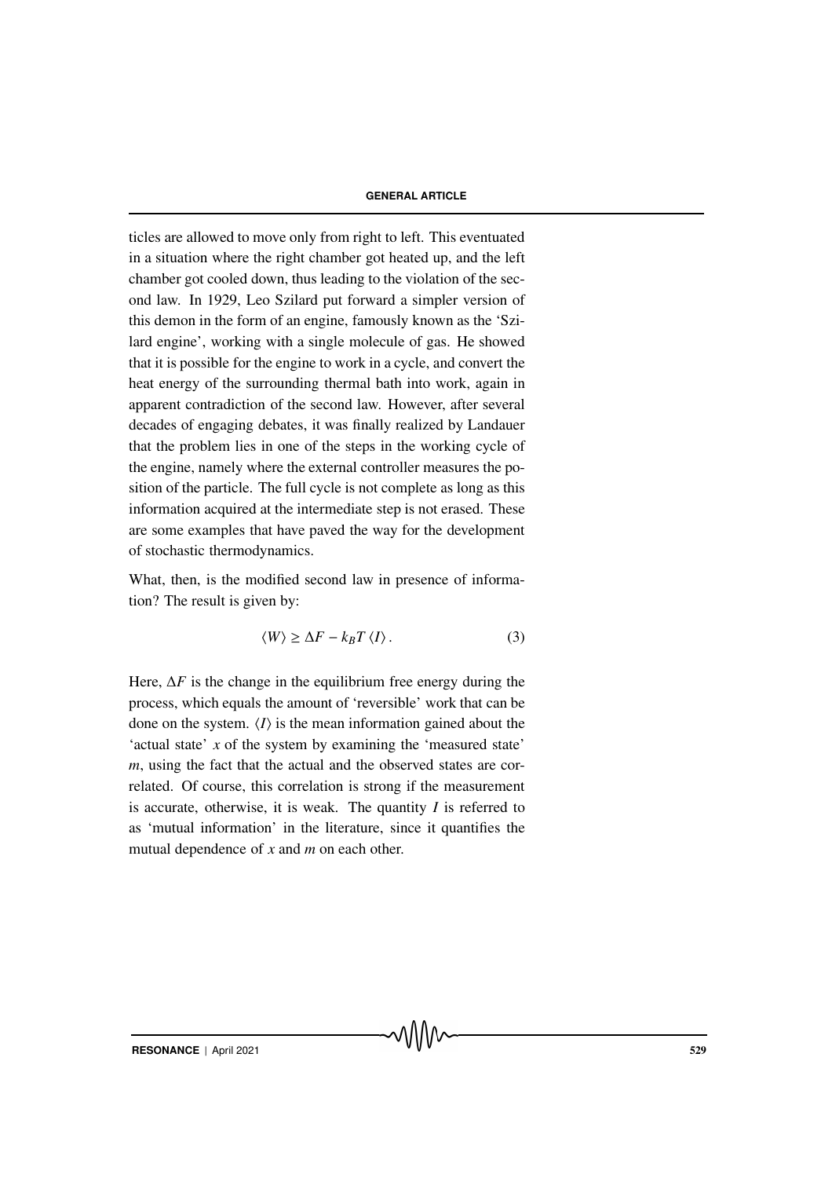### **GENERAL ARTICLE**

ticles are allowed to move only from right to left. This eventuated in a situation where the right chamber got heated up, and the left chamber got cooled down, thus leading to the violation of the second law. In 1929, Leo Szilard put forward a simpler version of this demon in the form of an engine, famously known as the 'Szilard engine', working with a single molecule of gas. He showed that it is possible for the engine to work in a cycle, and convert the heat energy of the surrounding thermal bath into work, again in apparent contradiction of the second law. However, after several decades of engaging debates, it was finally realized by Landauer that the problem lies in one of the steps in the working cycle of the engine, namely where the external controller measures the position of the particle. The full cycle is not complete as long as this information acquired at the intermediate step is not erased. These are some examples that have paved the way for the development of stochastic thermodynamics.

What, then, is the modified second law in presence of information? The result is given by:

$$
\langle W \rangle \ge \Delta F - k_B T \langle I \rangle. \tag{3}
$$

Here,  $\Delta F$  is the change in the equilibrium free energy during the process, which equals the amount of 'reversible' work that can be done on the system.  $\langle I \rangle$  is the mean information gained about the 'actual state' *x* of the system by examining the 'measured state' *m*, using the fact that the actual and the observed states are correlated. Of course, this correlation is strong if the measurement is accurate, otherwise, it is weak. The quantity *I* is referred to as 'mutual information' in the literature, since it quantifies the mutual dependence of *x* and *m* on each other.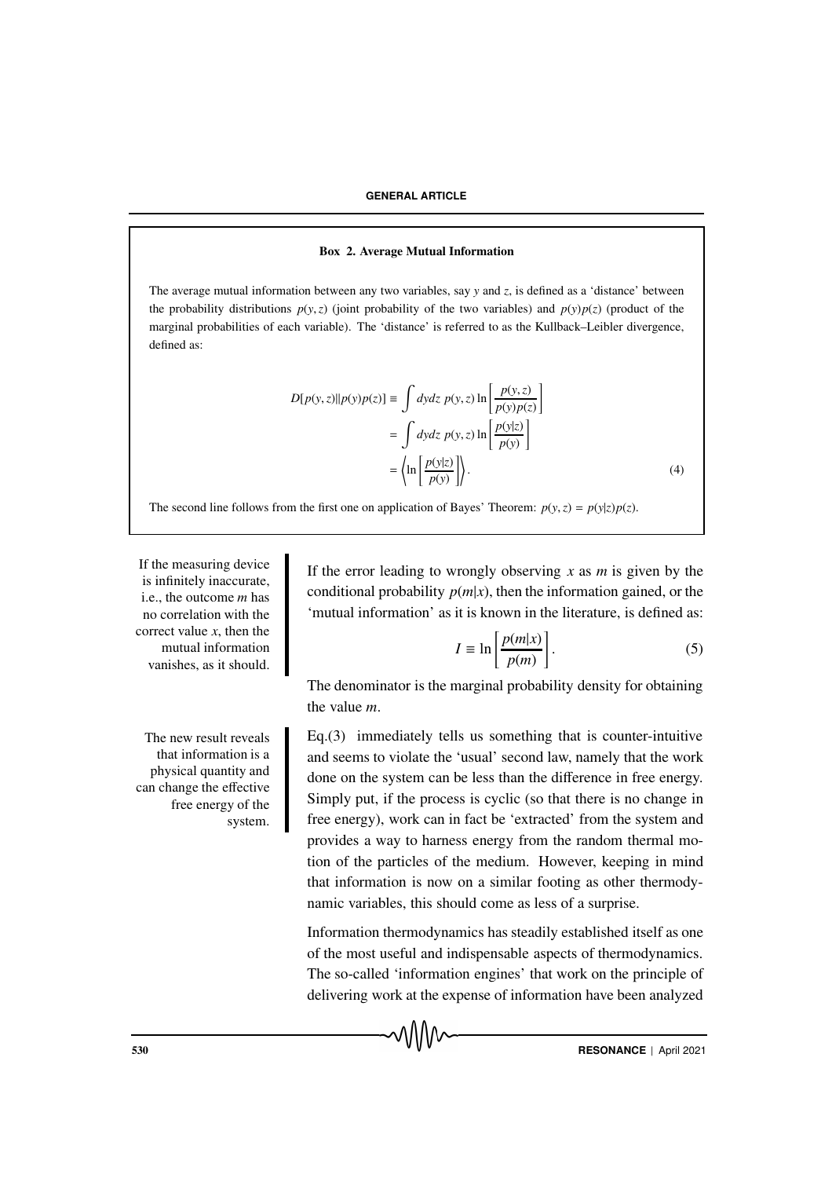### **GENERAL ARTICLE**

#### Box 2. Average Mutual Information

The average mutual information between any two variables, say *y* and *z*, is defined as a 'distance' between the probability distributions  $p(y, z)$  (joint probability of the two variables) and  $p(y)p(z)$  (product of the marginal probabilities of each variable). The 'distance' is referred to as the Kullback–Leibler divergence, defined as:

$$
D[p(y, z)||p(y)p(z)] \equiv \int dydz \ p(y, z) \ln \left[ \frac{p(y, z)}{p(y)p(z)} \right]
$$

$$
= \int dydz \ p(y, z) \ln \left[ \frac{p(y|z)}{p(y)} \right]
$$

$$
= \left\langle \ln \left[ \frac{p(y|z)}{p(y)} \right] \right\rangle. \tag{4}
$$

The second line follows from the first one on application of Bayes' Theorem:  $p(y, z) = p(y|z)p(z)$ .

If the measuring device is infinitely inaccurate, i.e., the outcome *m* has no correlation with the correct value *x*, then the mutual information vanishes, as it should.

The new result reveals that information is a physical quantity and can change the effective free energy of the system.

If the error leading to wrongly observing *x* as *m* is given by the conditional probability  $p(m|x)$ , then the information gained, or the 'mutual information' as it is known in the literature, is defined as:

$$
I \equiv \ln \left[ \frac{p(m|x)}{p(m)} \right].
$$
 (5)

The denominator is the marginal probability density for obtaining the value *m*.

 $Eq.(3)$  immediately tells us something that is counter-intuitive and seems to violate the 'usual' second law, namely that the work done on the system can be less than the difference in free energy. Simply put, if the process is cyclic (so that there is no change in free energy), work can in fact be 'extracted' from the system and provides a way to harness energy from the random thermal motion of the particles of the medium. However, keeping in mind that information is now on a similar footing as other thermodynamic variables, this should come as less of a surprise.

Information thermodynamics has steadily established itself as one of the most useful and indispensable aspects of thermodynamics. The so-called 'information engines' that work on the principle of delivering work at the expense of information have been analyzed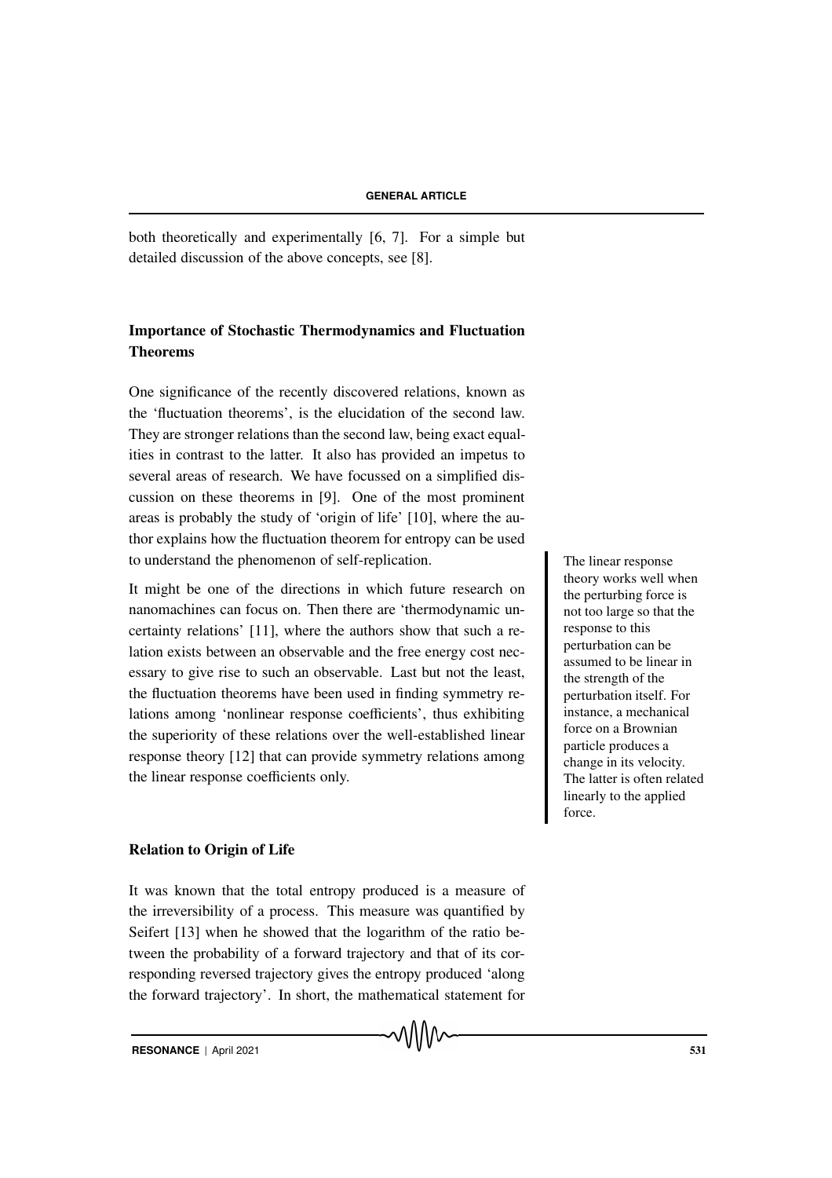both theoretically and experimentally [6, 7]. For a simple but detailed discussion of the above concepts, see [8].

# Importance of Stochastic Thermodynamics and Fluctuation Theorems

One significance of the recently discovered relations, known as the 'fluctuation theorems', is the elucidation of the second law. They are stronger relations than the second law, being exact equalities in contrast to the latter. It also has provided an impetus to several areas of research. We have focussed on a simplified discussion on these theorems in [9]. One of the most prominent areas is probably the study of 'origin of life' [10], where the author explains how the fluctuation theorem for entropy can be used to understand the phenomenon of self-replication. The linear response

It might be one of the directions in which future research on nanomachines can focus on. Then there are 'thermodynamic uncertainty relations' [11], where the authors show that such a relation exists between an observable and the free energy cost necessary to give rise to such an observable. Last but not the least, the fluctuation theorems have been used in finding symmetry relations among 'nonlinear response coefficients', thus exhibiting the superiority of these relations over the well-established linear response theory [12] that can provide symmetry relations among the linear response coefficients only.

Relation to Origin of Life

It was known that the total entropy produced is a measure of the irreversibility of a process. This measure was quantified by Seifert [13] when he showed that the logarithm of the ratio between the probability of a forward trajectory and that of its corresponding reversed trajectory gives the entropy produced 'along the forward trajectory'. In short, the mathematical statement for

᠕᠕᠕᠕

theory works well when the perturbing force is not too large so that the response to this perturbation can be assumed to be linear in the strength of the perturbation itself. For instance, a mechanical force on a Brownian particle produces a change in its velocity. The latter is often related linearly to the applied force.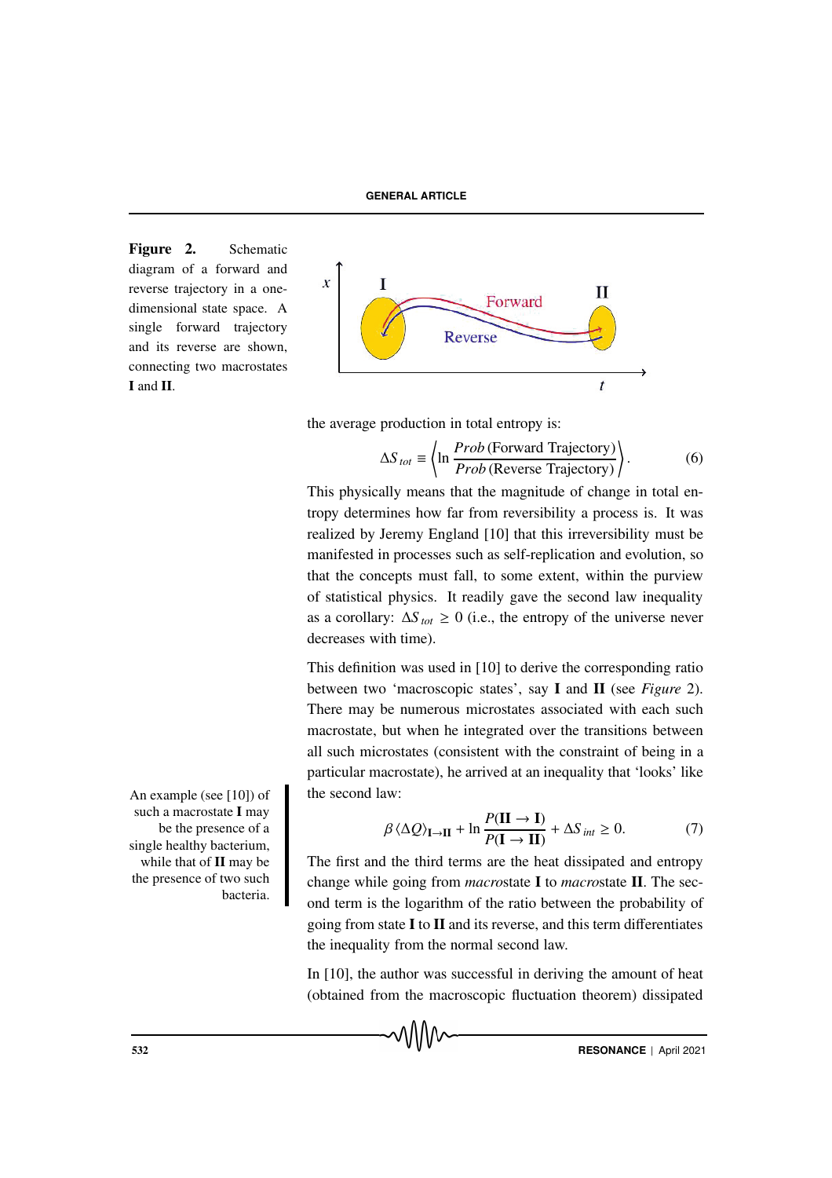Figure 2. Schematic diagram of a forward and reverse trajectory in a onedimensional state space. A single forward trajectory and its reverse are shown, connecting two macrostates I and II.



the average production in total entropy is:

$$
\Delta S_{tot} \equiv \left\langle \ln \frac{Prob \text{ (Forward Trajectory)}}{Prob \text{ (Reverse Trajectory)}} \right\rangle. \tag{6}
$$

This physically means that the magnitude of change in total entropy determines how far from reversibility a process is. It was realized by Jeremy England [10] that this irreversibility must be manifested in processes such as self-replication and evolution, so that the concepts must fall, to some extent, within the purview of statistical physics. It readily gave the second law inequality as a corollary:  $\Delta S_{tot} \ge 0$  (i.e., the entropy of the universe never decreases with time).

This definition was used in [10] to derive the corresponding ratio between two 'macroscopic states', say I and II (see *Figure* 2). There may be numerous microstates associated with each such macrostate, but when he integrated over the transitions between all such microstates (consistent with the constraint of being in a particular macrostate), he arrived at an inequality that 'looks' like

$$
\beta \langle \Delta Q \rangle_{\mathbf{I} \to \mathbf{II}} + \ln \frac{P(\mathbf{II} \to \mathbf{I})}{P(\mathbf{I} \to \mathbf{II})} + \Delta S_{int} \ge 0. \tag{7}
$$

The first and the third terms are the heat dissipated and entropy change while going from *macro*state I to *macro*state II. The second term is the logarithm of the ratio between the probability of going from state  $I$  to  $II$  and its reverse, and this term differentiates the inequality from the normal second law.

In [10], the author was successful in deriving the amount of heat (obtained from the macroscopic fluctuation theorem) dissipated

An example (see [10]) of the second law: such a macrostate I may be the presence of a single healthy bacterium, while that of **II** may be the presence of two such bacteria.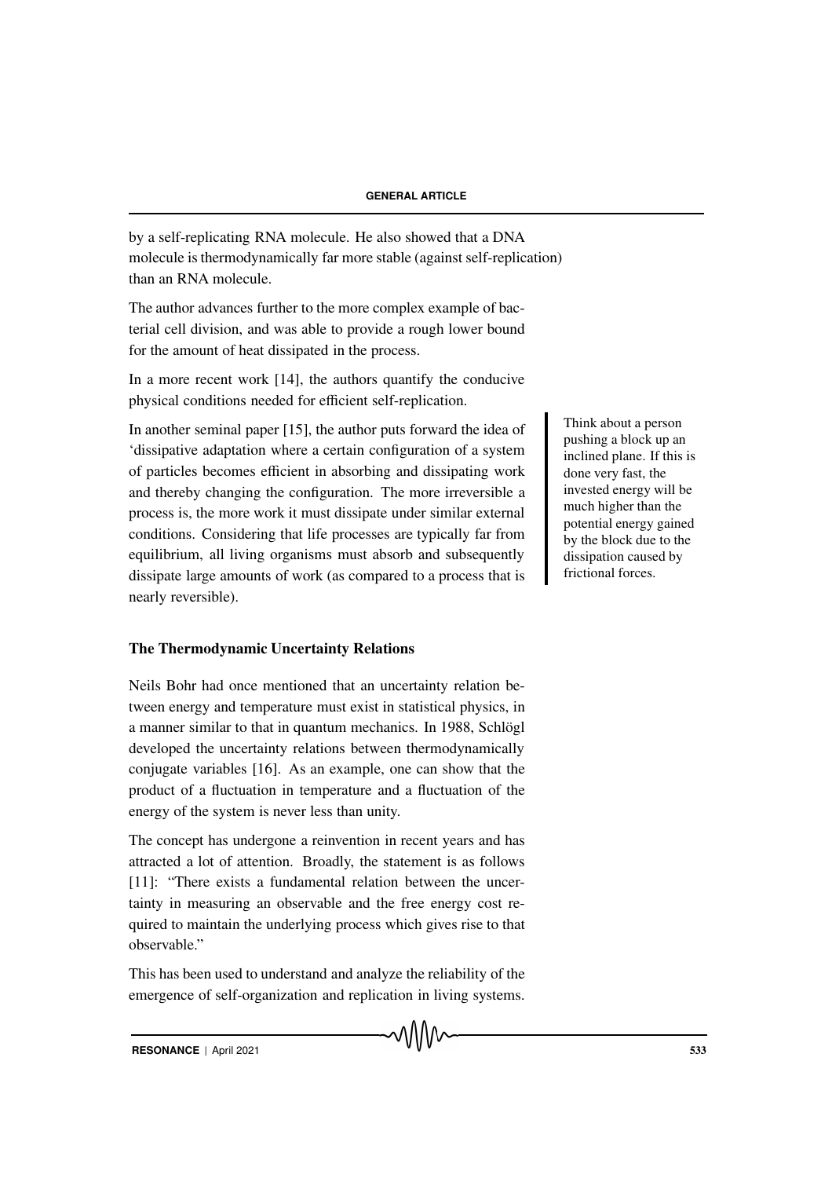by a self-replicating RNA molecule. He also showed that a DNA molecule is thermodynamically far more stable (against self-replication) than an RNA molecule.

The author advances further to the more complex example of bacterial cell division, and was able to provide a rough lower bound for the amount of heat dissipated in the process.

In a more recent work [14], the authors quantify the conducive physical conditions needed for efficient self-replication.

In another seminal paper [15], the author puts forward the idea of 'dissipative adaptation where a certain configuration of a system of particles becomes efficient in absorbing and dissipating work and thereby changing the configuration. The more irreversible a process is, the more work it must dissipate under similar external conditions. Considering that life processes are typically far from equilibrium, all living organisms must absorb and subsequently dissipate large amounts of work (as compared to a process that is nearly reversible).

# The Thermodynamic Uncertainty Relations

Neils Bohr had once mentioned that an uncertainty relation between energy and temperature must exist in statistical physics, in a manner similar to that in quantum mechanics. In 1988, Schlögl developed the uncertainty relations between thermodynamically conjugate variables [16]. As an example, one can show that the product of a fluctuation in temperature and a fluctuation of the energy of the system is never less than unity.

The concept has undergone a reinvention in recent years and has attracted a lot of attention. Broadly, the statement is as follows [11]: "There exists a fundamental relation between the uncertainty in measuring an observable and the free energy cost required to maintain the underlying process which gives rise to that observable."

This has been used to understand and analyze the reliability of the emergence of self-organization and replication in living systems. Think about a person pushing a block up an inclined plane. If this is done very fast, the invested energy will be much higher than the potential energy gained by the block due to the dissipation caused by frictional forces.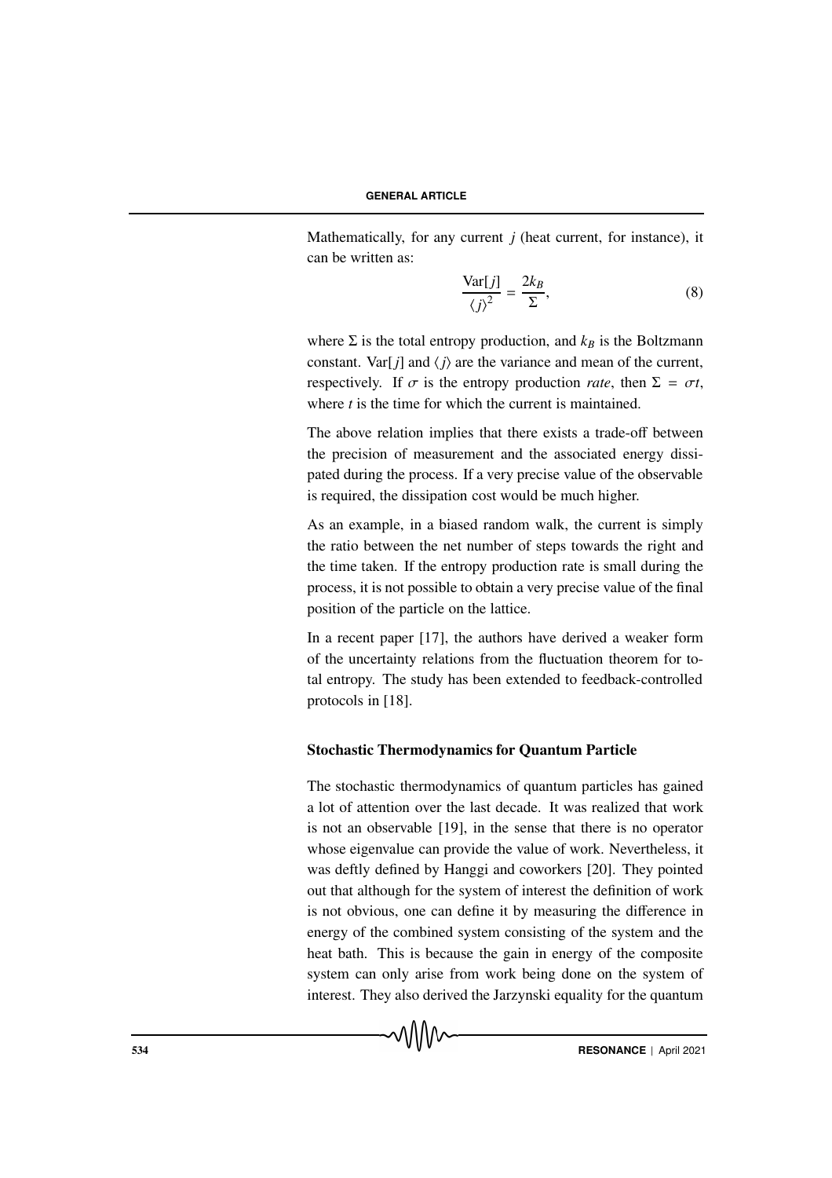Mathematically, for any current *j* (heat current, for instance), it can be written as:

$$
\frac{\text{Var}[j]}{\langle j \rangle^2} = \frac{2k_B}{\Sigma},\tag{8}
$$

where  $\Sigma$  is the total entropy production, and  $k_B$  is the Boltzmann constant. Var[ $j$ ] and  $\langle j \rangle$  are the variance and mean of the current, respectively. If  $\sigma$  is the entropy production *rate*, then  $\Sigma = \sigma t$ , where *t* is the time for which the current is maintained.

The above relation implies that there exists a trade-off between the precision of measurement and the associated energy dissipated during the process. If a very precise value of the observable is required, the dissipation cost would be much higher.

As an example, in a biased random walk, the current is simply the ratio between the net number of steps towards the right and the time taken. If the entropy production rate is small during the process, it is not possible to obtain a very precise value of the final position of the particle on the lattice.

In a recent paper [17], the authors have derived a weaker form of the uncertainty relations from the fluctuation theorem for total entropy. The study has been extended to feedback-controlled protocols in [18].

# Stochastic Thermodynamics for Quantum Particle

The stochastic thermodynamics of quantum particles has gained a lot of attention over the last decade. It was realized that work is not an observable [19], in the sense that there is no operator whose eigenvalue can provide the value of work. Nevertheless, it was deftly defined by Hanggi and coworkers [20]. They pointed out that although for the system of interest the definition of work is not obvious, one can define it by measuring the difference in energy of the combined system consisting of the system and the heat bath. This is because the gain in energy of the composite system can only arise from work being done on the system of interest. They also derived the Jarzynski equality for the quantum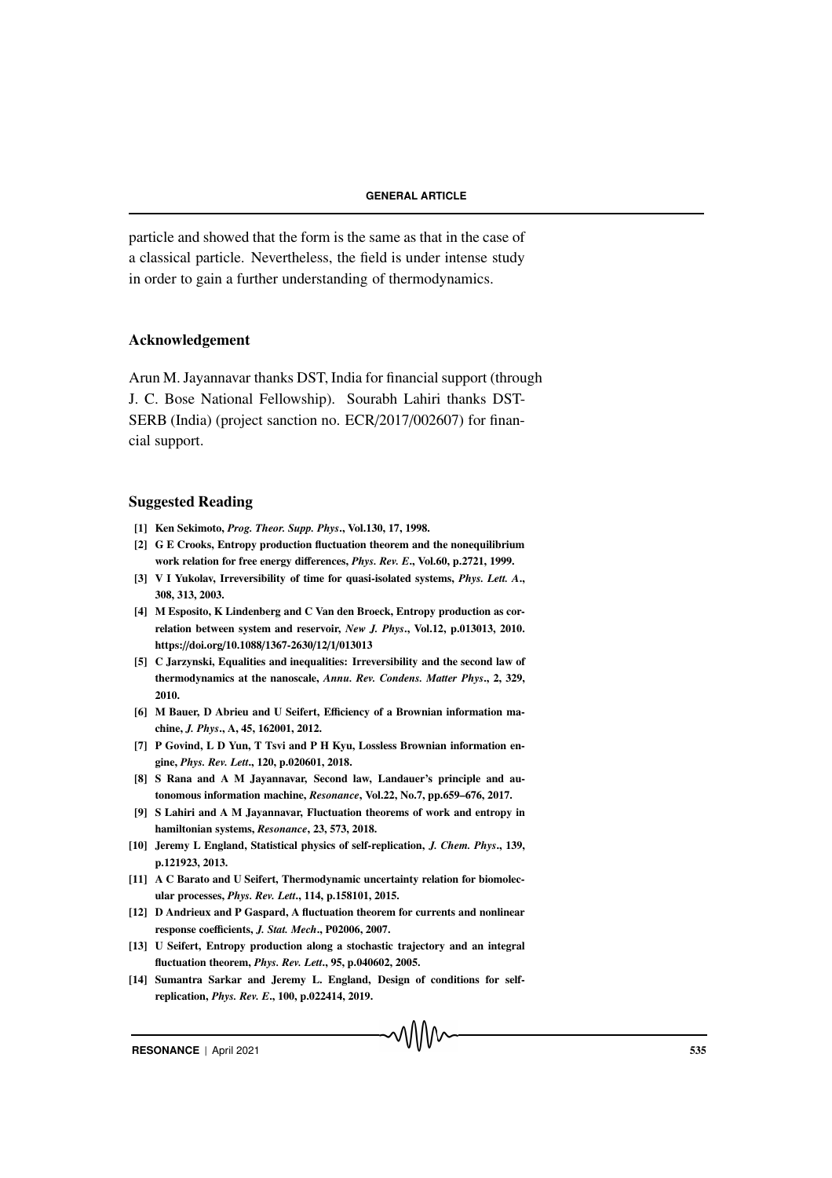particle and showed that the form is the same as that in the case of a classical particle. Nevertheless, the field is under intense study in order to gain a further understanding of thermodynamics.

# Acknowledgement

Arun M. Jayannavar thanks DST, India for financial support (through J. C. Bose National Fellowship). Sourabh Lahiri thanks DST-SERB (India) (project sanction no. ECR/2017/002607) for financial support.

#### Suggested Reading

- [1] Ken Sekimoto, *Prog. Theor. Supp. Phys*., Vol.130, 17, 1998.
- [2] G E Crooks, Entropy production fluctuation theorem and the nonequilibrium work relation for free energy differences, *Phys. Rev. E*., Vol.60, p.2721, 1999.
- [3] V I Yukolav, Irreversibility of time for quasi-isolated systems, *Phys. Lett. A*., 308, 313, 2003.
- [4] M Esposito, K Lindenberg and C Van den Broeck, Entropy production as correlation between system and reservoir, *New J. Phys*., Vol.12, p.013013, 2010. https://doi.org/10.1088/1367-2630/12/1/013013
- [5] C Jarzynski, Equalities and inequalities: Irreversibility and the second law of thermodynamics at the nanoscale, *Annu. Rev. Condens. Matter Phys*., 2, 329, 2010.
- [6] M Bauer, D Abrieu and U Seifert, Efficiency of a Brownian information machine, *J. Phys*., A, 45, 162001, 2012.
- [7] P Govind, L D Yun, T Tsvi and P H Kyu, Lossless Brownian information engine, *Phys. Rev. Lett*., 120, p.020601, 2018.
- [8] S Rana and A M Jayannavar, Second law, Landauer's principle and autonomous information machine, *Resonance*, Vol.22, No.7, pp.659–676, 2017.
- [9] S Lahiri and A M Jayannavar, Fluctuation theorems of work and entropy in hamiltonian systems, *Resonance*, 23, 573, 2018.
- [10] Jeremy L England, Statistical physics of self-replication, *J. Chem. Phys*., 139, p.121923, 2013.
- [11] A C Barato and U Seifert, Thermodynamic uncertainty relation for biomolecular processes, *Phys. Rev. Lett*., 114, p.158101, 2015.
- [12] D Andrieux and P Gaspard, A fluctuation theorem for currents and nonlinear response coefficients, *J. Stat. Mech*., P02006, 2007.
- [13] U Seifert, Entropy production along a stochastic trajectory and an integral fluctuation theorem, *Phys. Rev. Lett*., 95, p.040602, 2005.
- [14] Sumantra Sarkar and Jeremy L. England, Design of conditions for selfreplication, *Phys. Rev. E*., 100, p.022414, 2019.